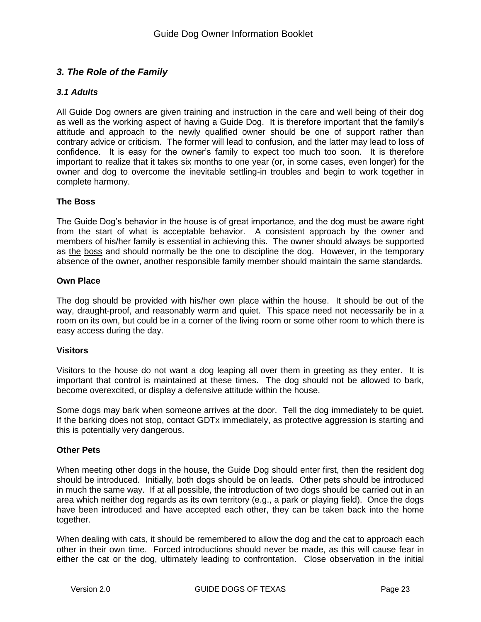# *3. The Role of the Family*

## *3.1 Adults*

All Guide Dog owners are given training and instruction in the care and well being of their dog as well as the working aspect of having a Guide Dog. It is therefore important that the family's attitude and approach to the newly qualified owner should be one of support rather than contrary advice or criticism. The former will lead to confusion, and the latter may lead to loss of confidence. It is easy for the owner's family to expect too much too soon. It is therefore important to realize that it takes six months to one year (or, in some cases, even longer) for the owner and dog to overcome the inevitable settling-in troubles and begin to work together in complete harmony.

### **The Boss**

The Guide Dog's behavior in the house is of great importance, and the dog must be aware right from the start of what is acceptable behavior. A consistent approach by the owner and members of his/her family is essential in achieving this. The owner should always be supported as the boss and should normally be the one to discipline the dog. However, in the temporary absence of the owner, another responsible family member should maintain the same standards.

#### **Own Place**

The dog should be provided with his/her own place within the house. It should be out of the way, draught-proof, and reasonably warm and quiet. This space need not necessarily be in a room on its own, but could be in a corner of the living room or some other room to which there is easy access during the day.

#### **Visitors**

Visitors to the house do not want a dog leaping all over them in greeting as they enter. It is important that control is maintained at these times. The dog should not be allowed to bark, become overexcited, or display a defensive attitude within the house.

Some dogs may bark when someone arrives at the door. Tell the dog immediately to be quiet. If the barking does not stop, contact GDTx immediately, as protective aggression is starting and this is potentially very dangerous.

#### **Other Pets**

When meeting other dogs in the house, the Guide Dog should enter first, then the resident dog should be introduced. Initially, both dogs should be on leads. Other pets should be introduced in much the same way. If at all possible, the introduction of two dogs should be carried out in an area which neither dog regards as its own territory (e.g., a park or playing field). Once the dogs have been introduced and have accepted each other, they can be taken back into the home together.

When dealing with cats, it should be remembered to allow the dog and the cat to approach each other in their own time. Forced introductions should never be made, as this will cause fear in either the cat or the dog, ultimately leading to confrontation. Close observation in the initial